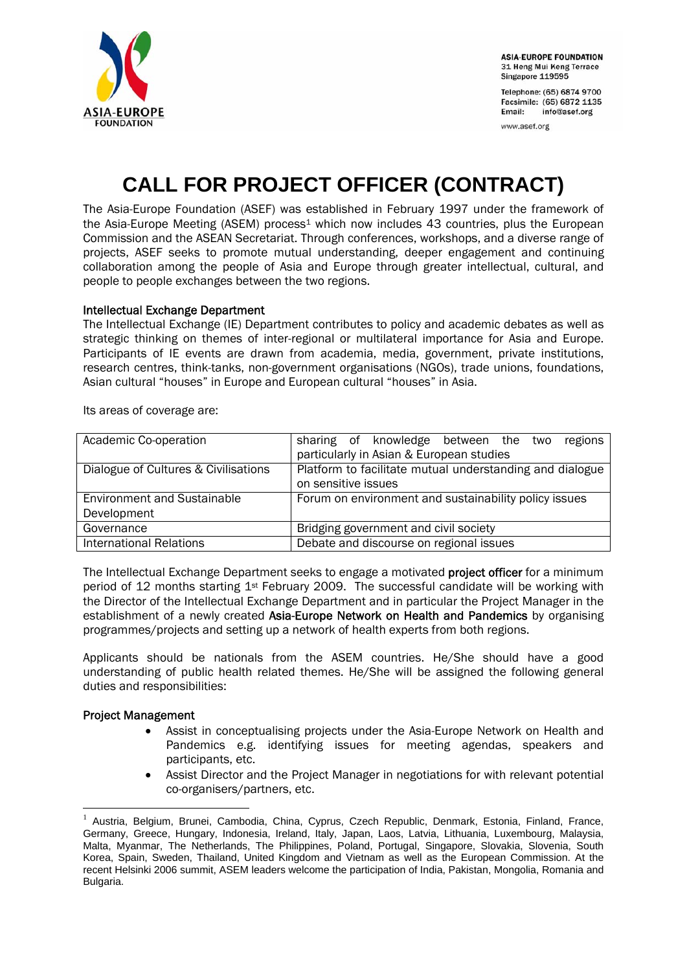

**ASIA-EUROPE FOUNDATION** 31 Heng Mui Keng Terrace Singapore 119595

Telephone: (65) 6874 9700 Facsimile: (65) 6872 1135 **Email:** info@asef.org

www.asef.org

# **CALL FOR PROJECT OFFICER (CONTRACT)**

The Asia-Europe Foundation (ASEF) was established in February 1997 under the framework of the Asia-Europe Meeting (ASEM) process<sup>1</sup> which now includes 43 countries, plus the European Commission and the ASEAN Secretariat. Through conferences, workshops, and a diverse range of projects, ASEF seeks to promote mutual understanding, deeper engagement and continuing collaboration among the people of Asia and Europe through greater intellectual, cultural, and people to people exchanges between the two regions.

## Intellectual Exchange Department

The Intellectual Exchange (IE) Department contributes to policy and academic debates as well as strategic thinking on themes of inter-regional or multilateral importance for Asia and Europe. Participants of IE events are drawn from academia, media, government, private institutions, research centres, think-tanks, non-government organisations (NGOs), trade unions, foundations, Asian cultural "houses" in Europe and European cultural "houses" in Asia.

Its areas of coverage are:

| Academic Co-operation                | sharing of knowledge between the two<br>regions          |
|--------------------------------------|----------------------------------------------------------|
|                                      | particularly in Asian & European studies                 |
| Dialogue of Cultures & Civilisations | Platform to facilitate mutual understanding and dialogue |
|                                      | on sensitive issues                                      |
| <b>Environment and Sustainable</b>   | Forum on environment and sustainability policy issues    |
| Development                          |                                                          |
| Governance                           | Bridging government and civil society                    |
| <b>International Relations</b>       | Debate and discourse on regional issues                  |

The Intellectual Exchange Department seeks to engage a motivated **project officer** for a minimum period of 12 months starting 1st February 2009. The successful candidate will be working with the Director of the Intellectual Exchange Department and in particular the Project Manager in the establishment of a newly created Asia-Europe Network on Health and Pandemics by organising programmes/projects and setting up a network of health experts from both regions.

Applicants should be nationals from the ASEM countries. He/She should have a good understanding of public health related themes. He/She will be assigned the following general duties and responsibilities:

#### Project Management

1

- Assist in conceptualising projects under the Asia-Europe Network on Health and Pandemics e.g. identifying issues for meeting agendas, speakers and participants, etc.
- Assist Director and the Project Manager in negotiations for with relevant potential co-organisers/partners, etc.

<sup>&</sup>lt;sup>1</sup> Austria, Belgium, Brunei, Cambodia, China, Cyprus, Czech Republic, Denmark, Estonia, Finland, France, Germany, Greece, Hungary, Indonesia, Ireland, Italy, Japan, Laos, Latvia, Lithuania, Luxembourg, Malaysia, Malta, Myanmar, The Netherlands, The Philippines, Poland, Portugal, Singapore, Slovakia, Slovenia, South Korea, Spain, Sweden, Thailand, United Kingdom and Vietnam as well as the European Commission. At the recent Helsinki 2006 summit, ASEM leaders welcome the participation of India, Pakistan, Mongolia, Romania and Bulgaria.